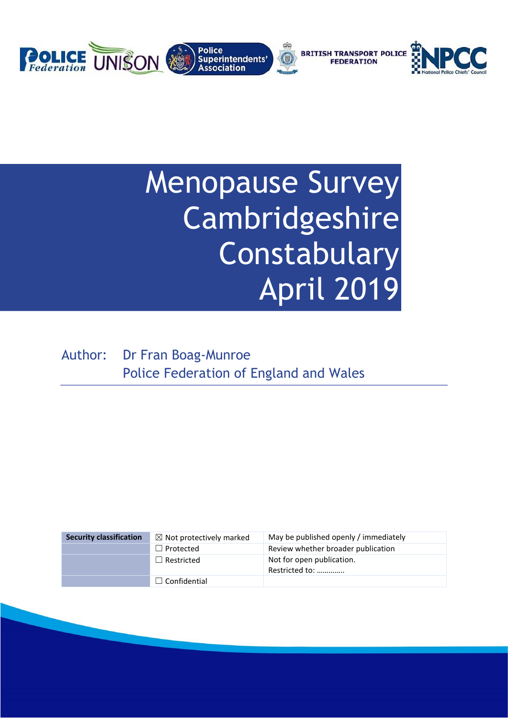

# Menopause Survey Cambridgeshire Constabulary April 2019

Author: Dr Fran Boag-Munroe Police Federation of England and Wales

| <b>Security classification</b> | $\boxtimes$ Not protectively marked | May be published openly / immediately       |
|--------------------------------|-------------------------------------|---------------------------------------------|
|                                | $\Box$ Protected                    | Review whether broader publication          |
|                                | $\Box$ Restricted                   | Not for open publication.<br>Restricted to: |
|                                | $\Box$ Confidential                 |                                             |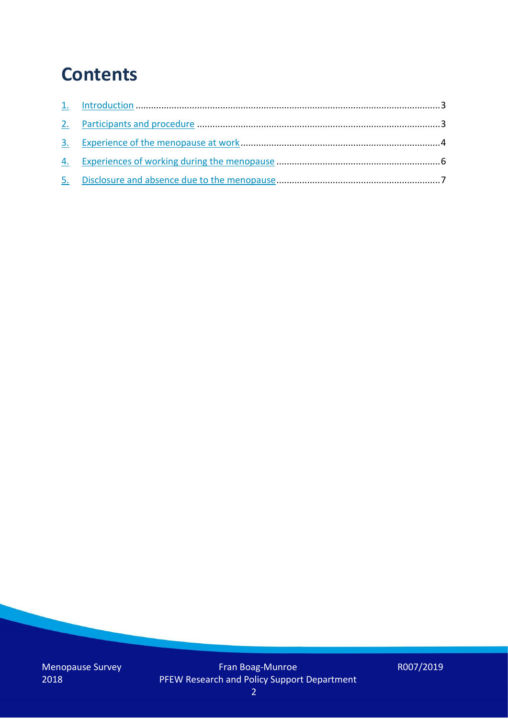### **Contents**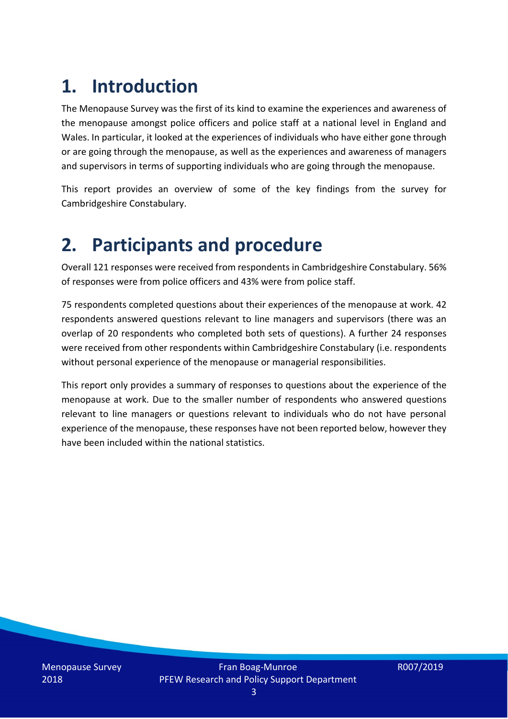### **1. Introduction**

The Menopause Survey was the first of its kind to examine the experiences and awareness of the menopause amongst police officers and police staff at a national level in England and Wales. In particular, it looked at the experiences of individuals who have either gone through or are going through the menopause, as well as the experiences and awareness of managers and supervisors in terms of supporting individuals who are going through the menopause.

This report provides an overview of some of the key findings from the survey for Cambridgeshire Constabulary.

#### **2. Participants and procedure**

Overall 121 responses were received from respondents in Cambridgeshire Constabulary. 56% of responses were from police officers and 43% were from police staff.

75 respondents completed questions about their experiences of the menopause at work. 42 respondents answered questions relevant to line managers and supervisors (there was an overlap of 20 respondents who completed both sets of questions). A further 24 responses were received from other respondents within Cambridgeshire Constabulary (i.e. respondents without personal experience of the menopause or managerial responsibilities.

This report only provides a summary of responses to questions about the experience of the menopause at work. Due to the smaller number of respondents who answered questions relevant to line managers or questions relevant to individuals who do not have personal experience of the menopause, these responses have not been reported below, however they have been included within the national statistics.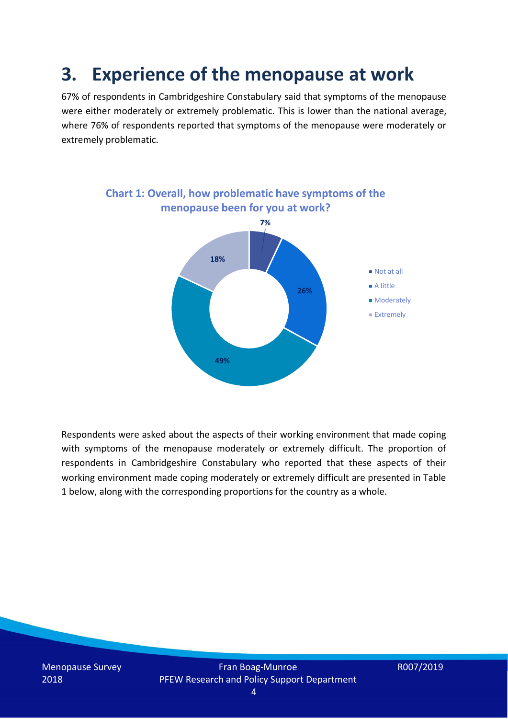#### **3. Experience of the menopause at work**

67% of respondents in Cambridgeshire Constabulary said that symptoms of the menopause were either moderately or extremely problematic. This is lower than the national average, where 76% of respondents reported that symptoms of the menopause were moderately or extremely problematic.



Respondents were asked about the aspects of their working environment that made coping with symptoms of the menopause moderately or extremely difficult. The proportion of respondents in Cambridgeshire Constabulary who reported that these aspects of their working environment made coping moderately or extremely difficult are presented in Table 1 below, along with the corresponding proportions for the country as a whole.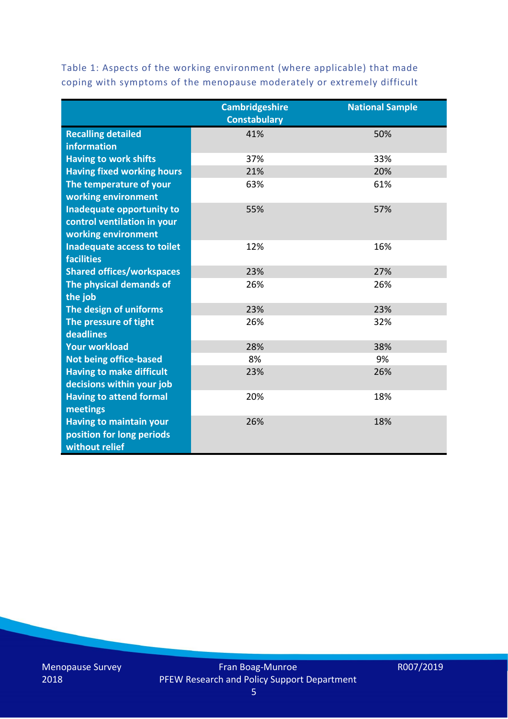|                                   | <b>Cambridgeshire</b><br><b>Constabulary</b> | <b>National Sample</b> |
|-----------------------------------|----------------------------------------------|------------------------|
| <b>Recalling detailed</b>         | 41%                                          | 50%                    |
| <b>information</b>                |                                              |                        |
| <b>Having to work shifts</b>      | 37%                                          | 33%                    |
| <b>Having fixed working hours</b> | 21%                                          | 20%                    |
| The temperature of your           | 63%                                          | 61%                    |
| working environment               |                                              |                        |
| <b>Inadequate opportunity to</b>  | 55%                                          | 57%                    |
| control ventilation in your       |                                              |                        |
| working environment               |                                              |                        |
| Inadequate access to toilet       | 12%                                          | 16%                    |
| <b>facilities</b>                 |                                              |                        |
| <b>Shared offices/workspaces</b>  | 23%                                          | 27%                    |
| The physical demands of           | 26%                                          | 26%                    |
| the job                           |                                              |                        |
| The design of uniforms            | 23%                                          | 23%                    |
| The pressure of tight             | 26%                                          | 32%                    |
| deadlines                         |                                              |                        |
| <b>Your workload</b>              | 28%                                          | 38%                    |
| <b>Not being office-based</b>     | 8%                                           | 9%                     |
| <b>Having to make difficult</b>   | 23%                                          | 26%                    |
| decisions within your job         |                                              |                        |
| <b>Having to attend formal</b>    | 20%                                          | 18%                    |
| meetings                          |                                              |                        |
| <b>Having to maintain your</b>    | 26%                                          | 18%                    |
| position for long periods         |                                              |                        |
| without relief                    |                                              |                        |

Table 1: Aspects of the working environment (where applicable) that made coping with symptoms of the menopause moderately or extremely difficult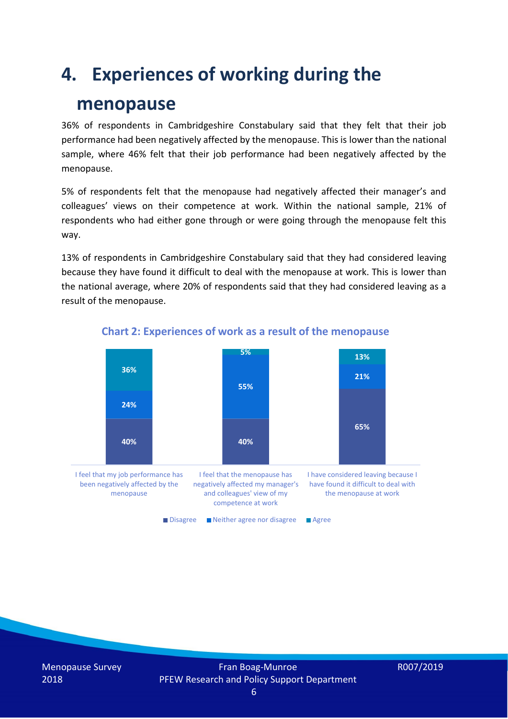### **4. Experiences of working during the**

#### **menopause**

36% of respondents in Cambridgeshire Constabulary said that they felt that their job performance had been negatively affected by the menopause. This is lower than the national sample, where 46% felt that their job performance had been negatively affected by the menopause.

5% of respondents felt that the menopause had negatively affected their manager's and colleagues' views on their competence at work. Within the national sample, 21% of respondents who had either gone through or were going through the menopause felt this way.

13% of respondents in Cambridgeshire Constabulary said that they had considered leaving because they have found it difficult to deal with the menopause at work. This is lower than the national average, where 20% of respondents said that they had considered leaving as a result of the menopause.



#### **Chart 2: Experiences of work as a result of the menopause**